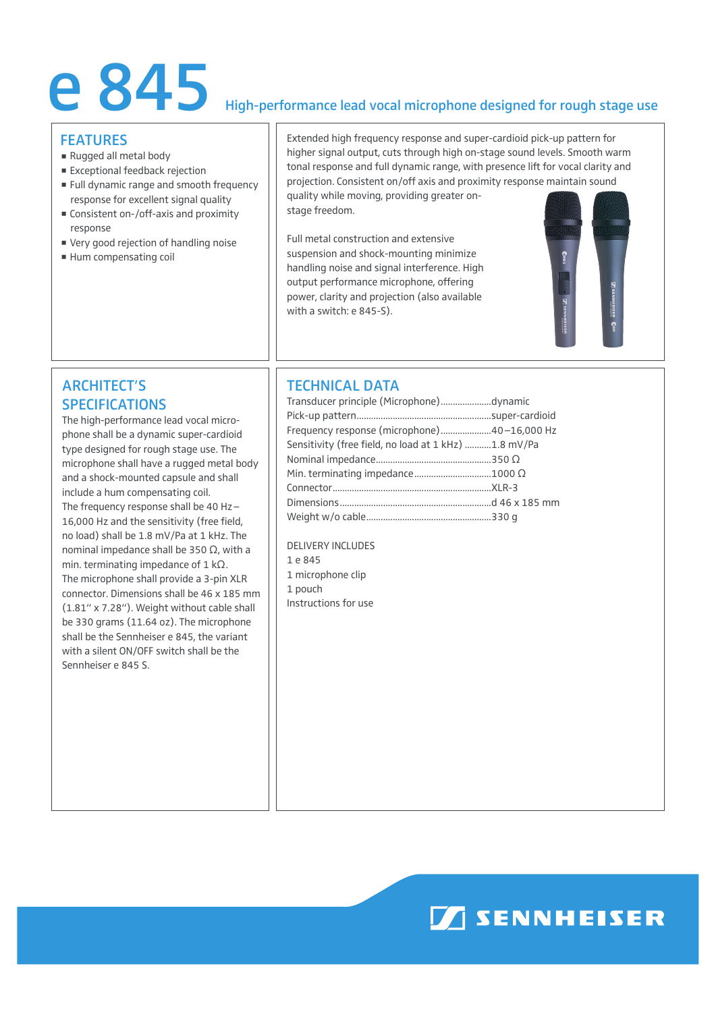# e 845 High-performance lead vocal microphone designed for rough stage use

#### **FFATURES**

- Rugged all metal body
- Exceptional feedback rejection
- **Full dynamic range and smooth frequency** response for excellent signal quality
- Consistent on-/off-axis and proximity response
- Very good rejection of handling noise
- Hum compensating coil

Extended high frequency response and super-cardioid pick-up pattern for higher signal output, cuts through high on-stage sound levels. Smooth warm tonal response and full dynamic range, with presence lift for vocal clarity and projection. Consistent on/off axis and proximity response maintain sound quality while moving, providing greater on-

stage freedom.

Full metal construction and extensive suspension and shock-mounting minimize handling noise and signal interference. High output performance microphone, offering power, clarity and projection (also available with a switch: e 845-S).



# ARCHITECT'S SPECIFICATIONS

The high-performance lead vocal microphone shall be a dynamic super-cardioid type designed for rough stage use. The microphone shall have a rugged metal body and a shock-mounted capsule and shall include a hum compensating coil. The frequency response shall be 40 Hz– 16,000 Hz and the sensitivity (free field, no load) shall be 1.8 mV/Pa at 1 kHz. The nominal impedance shall be 350  $\Omega$ , with a min. terminating impedance of  $1 \text{ k}\Omega$ . The microphone shall provide a 3-pin XLR connector. Dimensions shall be 46 x 185 mm (1.81" x 7.28"). Weight without cable shall be 330 grams (11.64 oz). The microphone shall be the Sennheiser e 845, the variant with a silent ON/OFF switch shall be the Sennheiser e 845 S.

# TECHNICAL DATA

| Transducer principle (Microphone)dynamic             |  |
|------------------------------------------------------|--|
|                                                      |  |
| Frequency response (microphone)40-16,000 Hz          |  |
| Sensitivity (free field, no load at 1 kHz) 1.8 mV/Pa |  |
|                                                      |  |
|                                                      |  |
|                                                      |  |
|                                                      |  |
|                                                      |  |

Delivery includes

- 1 e 845
- 1 microphone clip 1 pouch Instructions for use

**MISENNHEISER**